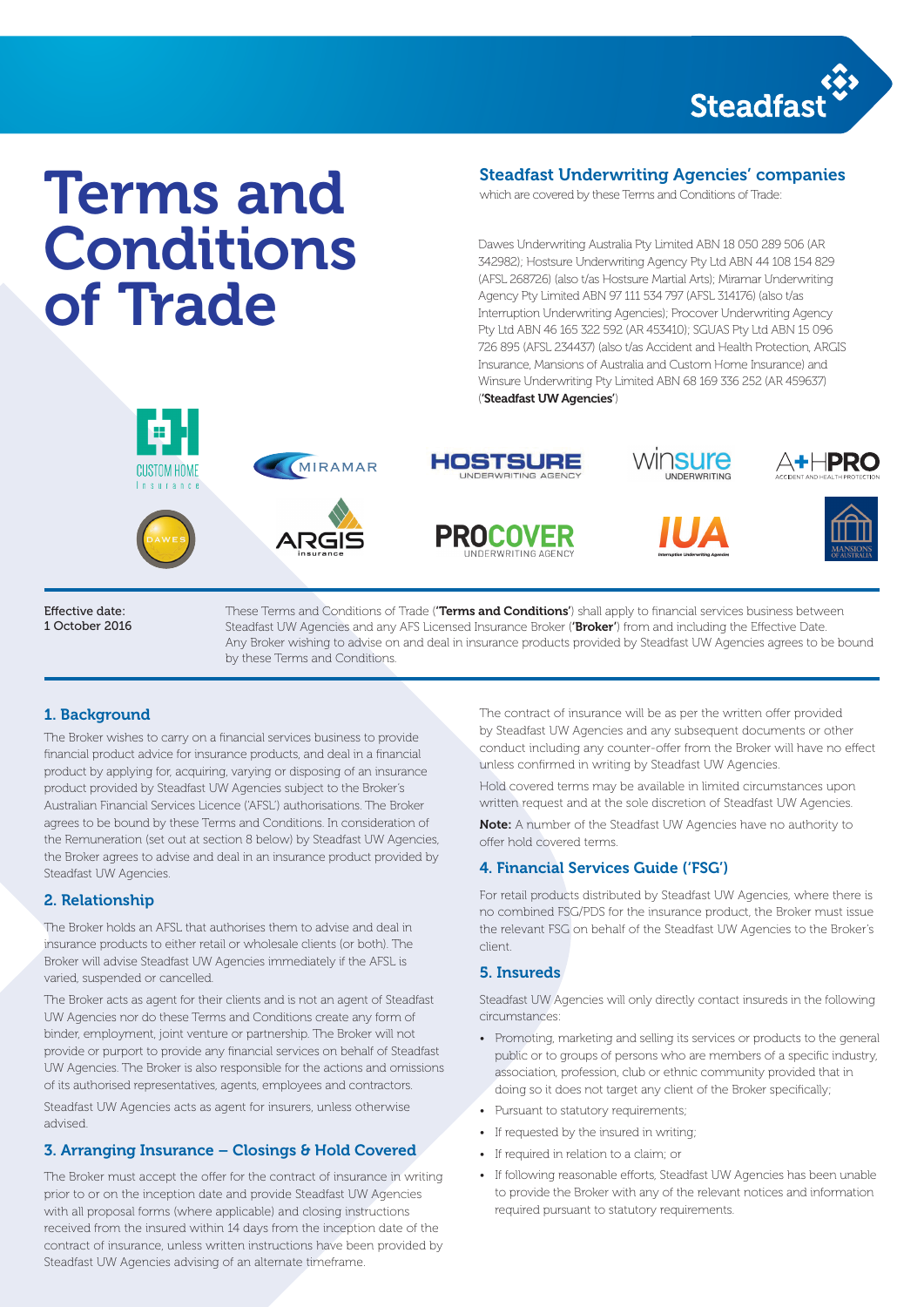

# Terms and Conditions of Trade Steadfast chevron Steadfast diamond

# Steadfast Underwriting Agencies' companies

which are covered by these Terms and Conditions of Trade:

Dawes Underwriting Australia Pty Limited ABN 18 050 289 506 (AR 342982); Hostsure Underwriting Agency Pty Ltd ABN 44 108 154 829 (AFSL 268726) (also t/as Hostsure Martial Arts); Miramar Underwriting Agency Pty Limited ABN 97 111 534 797 (AFSL 314176) (also t/as Interruption Underwriting Agencies); Procover Underwriting Agency Pty Ltd ABN 46 165 322 592 (AR 453410); SGUAS Pty Ltd ABN 15 096 726 895 (AFSL 234437) (also t/as Accident and Health Protection, ARGIS Insurance, Mansions of Australia and Custom Home Insurance) and Winsure Underwriting Pty Limited ABN 68 169 336 252 (AR 459637) ('Steadfast UW Agencies')







MIRAMAR



**MEANS GIVE EXCLUSIVE ENCOUNDERWRIT** 

need when they









Effective date: 1 October 2016

These Terms and Conditions of Trade (**'Terms and Conditions'**) shall apply to financial services business between<br>-Steadfast UW Agencies and any AFS Licensed Insurance Broker (**'Broker'**) from and including the Effective Date. Any Broker wishing to advise on and deal in insurance products provided by Steadfast UW Agencies agrees to be bound by these Terms and Conditions.

#### **1. Background showing the Steadfast chevron** bung used as a photographic window  $\mathbf{u}$

The Broker wishes to carry on a financial services business to provide financial product advice for insurance products, and deal in a financial product by applying for, acquiring, varying or disposing of an insurance product provided by Steadfast UW Agencies subject to the Broker's Hold covered terms may be available in limited circumstances upoi Australian Financial Services Licence ('AFSL') authorisations. The Broker agrees to be bound by these Terms and Conditions. In consideration of the Remuneration (set out at section 8 below) by Steadfast UW Agencies, the Broker agrees to advise and deal in an insurance product provided by Steadfast UW Agencies.

### 2. Relationship

The Broker holds an AFSL that authorises them to advise and deal in insurance products to either retail or wholesale clients (or both). The Broker will advise Steadfast UW Agencies immediately if the AFSL is varied, suspended or cancelled.

The Broker acts as agent for their clients and is not an agent of Steadfast UW Agencies nor do these Terms and Conditions create any form of binder, employment, joint venture or partnership. The Broker will not provide or purport to provide any financial services on behalf of Steadfast UW Agencies. The Broker is also responsible for the actions and omissions of its authorised representatives, agents, employees and contractors.

Steadfast UW Agencies acts as agent for insurers, unless otherwise advised.

### 3. Arranging Insurance – Closings & Hold Covered

The Broker must accept the offer for the contract of insurance in writing prior to or on the inception date and provide Steadfast UW Agencies with all proposal forms (where applicable) and closing instructions received from the insured within 14 days from the inception date of the contract of insurance, unless written instructions have been provided by Steadfast UW Agencies advising of an alternate timeframe.

The contract of insurance will be as per the written offer provided by Steadfast UW Agencies and any subsequent documents or other conduct including any counter-offer from the Broker will have no effect unless confirmed in writing by Steadfast UW Agencies. being used as a photographic watermark watermark watermark watermark watermark watermark watermark watermark w<br>The countermark watermark watermark watermark watermark watermark watermark watermark watermark wat watermark Example showing the Steadfast chevron being the  $\alpha$  to contain a typical to contain  $\alpha$ 

> Hold covered terms may be available in limited circumstances upon written request and at the sole discretion of Steadfast UW Agencies.

Note: A number of the Steadfast UW Agencies have no authority to offer hold covered terms.

### 4. Financial Services Guide ('FSG')

For retail products distributed by Steadfast UW Agencies, where there is no combined FSG/PDS for the insurance product, the Broker must issue the relevant FSG on behalf of the Steadfast UW Agencies to the Broker's client.

#### 5. Insureds

Steadfast UW Agencies will only directly contact insureds in the following circumstances:

- Promoting, marketing and selling its services or products to the general public or to groups of persons who are members of a specific industry, association, profession, club or ethnic community provided that in doing so it does not target any client of the Broker specifically;
- Pursuant to statutory requirements;
- If requested by the insured in writing;
- If required in relation to a claim; or
- If following reasonable efforts, Steadfast UW Agencies has been unable to provide the Broker with any of the relevant notices and information required pursuant to statutory requirements.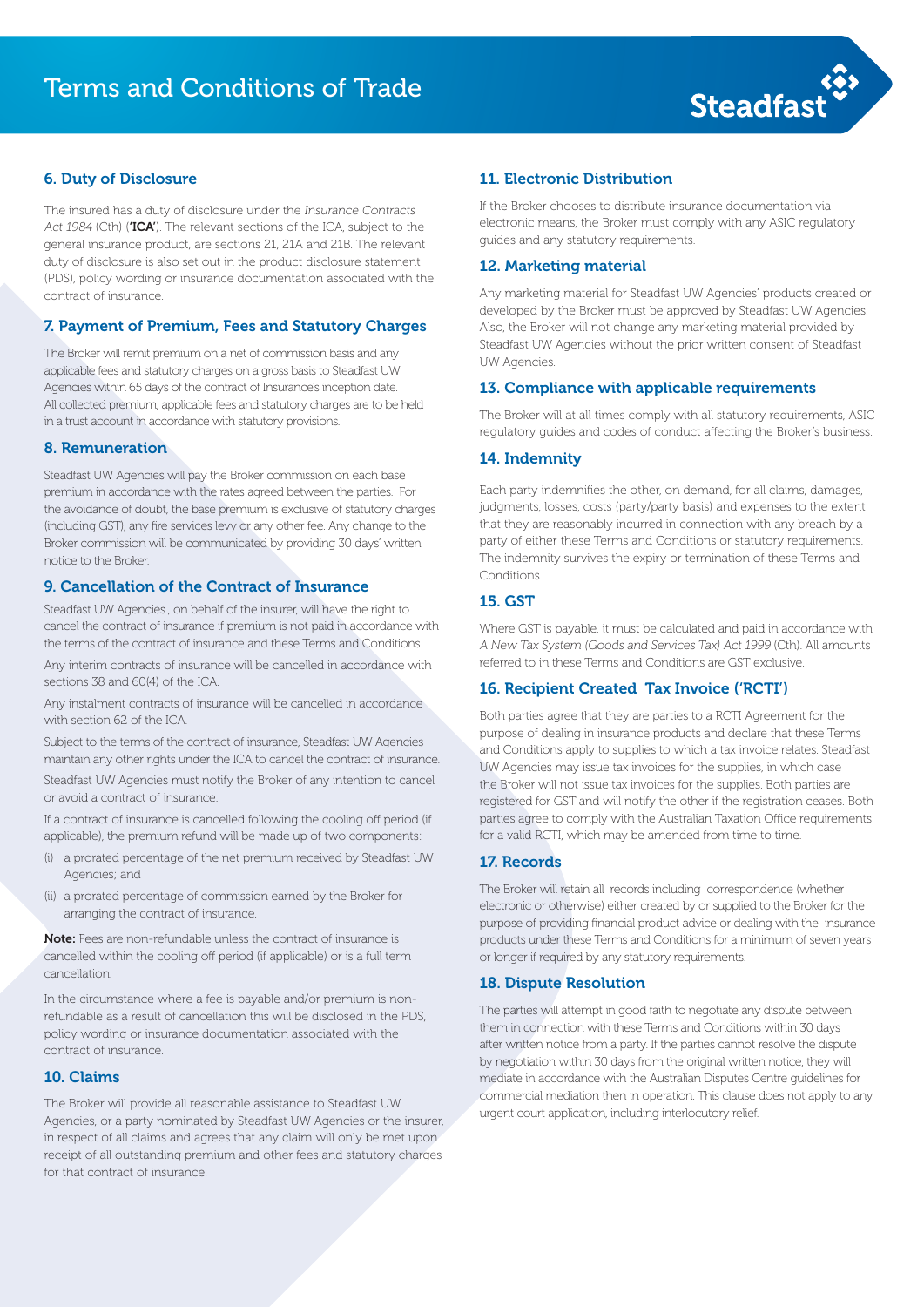

#### 6. Duty of Disclosure

(PDS), policy wording or insurance documentation associated with the The insured has a duty of disclosure under the Insurance Contracts Act 1984 (Cth) ('ICA'). The relevant sections of the ICA, subject to the general insurance product, are sections 21, 21A and 21B. The relevant duty of disclosure is also set out in the product disclosure statement contract of insurance.

#### 7. Payment of Premium, Fees and Statutory Charges

The Broker will remit premium on a net of commission basis and any applicable fees and statutory charges on a gross basis to Steadfast UW Agencies within 65 days of the contract of Insurance's inception date. All collected premium, applicable fees and statutory charges are to be held in a trust account in accordance with statutory provisions.

#### 8. Remuneration

(including GST), any fire services levy or any other fee. Any change to the the means giving every Broker commission will be communicated by providing 30 days' written Steadfast UW Agencies will pay the Broker commission on each base premium in accordance with the rates agreed between the parties. For the avoidance of doubt, the base premium is exclusive of statutory charges notice to the Broker.

#### 9. Cancellation of the Contract of Insurance

Steadfast UW Agencies , on behalf of the insurer, will have the right to cancel the contract of insurance if premium is not paid in accordance with  $\sqrt{ }$ the terms of the contract of insurance and these Terms and Conditions.

Any interim contracts of insurance will be cancelled in accordance with sections 38 and 60(4) of the ICA.

Any instalment contracts of insurance will be cancelled in accordance with section 62 of the ICA. The mass are also window being used as a photographic watermark watermark watermark watermark watermark watermark watermark watermark w<br>The contract watermark watermark watermark watermark watermark watermark watermark watermark wat wat watermark

Steadfast UW Agencies must notify the Broker of any intention to cancel whe Broker will not issue tax invoices for the supplies. Both parties are Subject to the terms of the contract of insurance, Steadfast UW Agencies maintain any other rights under the ICA to cancel the contract of insurance. Steadfast UW Agencies must notify the Broker of any intention to cancel or avoid a contract of insurance.

> If a contract of insurance is cancelled following the cooling off period (if applicable), the premium refund will be made up of two components:

- (i) a prorated percentage of the net premium received by Steadfast UW Agencies; and
- (ii) a prorated percentage of commission earned by the Broker for arranging the contract of insurance.

Note: Fees are non-refundable unless the contract of insurance is cancelled within the cooling off period (if applicable) or is a full term cancellation.

In the circumstance where a fee is payable and/or premium is nonrefundable as a result of cancellation this will be disclosed in the PDS, policy wording or insurance documentation associated with the contract of insurance.

#### 10. Claims

The Broker will provide all reasonable assistance to Steadfast UW Agencies, or a party nominated by Steadfast UW Agencies or the insurer, in respect of all claims and agrees that any claim will only be met upon receipt of all outstanding premium and other fees and statutory charges for that contract of insurance.

#### 11. Electronic Distribution

If the Broker chooses to distribute insurance documentation via electronic means, the Broker must comply with any ASIC regulatory guides and any statutory requirements.

#### 12. Marketing material

Any marketing material for Steadfast UW Agencies' products created or developed by the Broker must be approved by Steadfast UW Agencies. Also, the Broker will not change any marketing material provided by Steadfast UW Agencies without the prior written consent of Steadfast UW Agencies.

#### 13. Compliance with applicable requirements

regulatory guides and codes of conduct affecting the being used to crop photography regulatory guides and codes of conduct affecting the Broker's business.<br>. The Broker will at all times comply with all statutory requirements, ASIC

#### 14. Indemnity

The muerning.<br>Conditions. need when they are they are they are they are they are they are they are they are they are they are they are they are they are they are they are they are they are they are they are they are they are they are they are they Each party indemnifies the other, on demand, for all claims, damages, judgments, losses, costs (party/party basis) and expenses to the extent  $\frac{1}{2}$  that they are reasonably incurred in connection with any breach by a when they are reasonably incarred in connection with any breach by a<br>party of either these Terms and Conditions or statutory requirements. The indemnity survives the expiry or termination of these Terms and

#### 15. GST

Where GST is payable, it must be calculated and paid in accordance with A New Tax System (Goods and Services Tax) Act 1999 (Cth). All amounts referred to in these Terms and Conditions are GST exclusive.

#### 16. Recipient Created Tax Invoice ('RCTI')

Example showing the Steadfast chevron Both parties agree that they are parties to a RCTI Agreement for the purpose of dealing in insurance products and declare that these Terms and Conditions apply to supplies to which a tax invoice relates. Steadfast UW Agencies may issue tax invoices for the supplies, in which case registered for GST and will notify the other if the registration ceases. Both parties agree to comply with the Australian Taxation Office requirements for a valid RCTI, which may be amended from time to time.

#### 17. Records

The Broker will retain all records including correspondence (whether electronic or otherwise) either created by or supplied to the Broker for the purpose of providing financial product advice or dealing with the insurance products under these Terms and Conditions for a minimum of seven years or longer if required by any statutory requirements.

#### 18. Dispute Resolution

The parties will attempt in good faith to negotiate any dispute between them in connection with these Terms and Conditions within 30 days after written notice from a party. If the parties cannot resolve the dispute by negotiation within 30 days from the original written notice, they will mediate in accordance with the Australian Disputes Centre guidelines for commercial mediation then in operation. This clause does not apply to any urgent court application, including interlocutory relief.